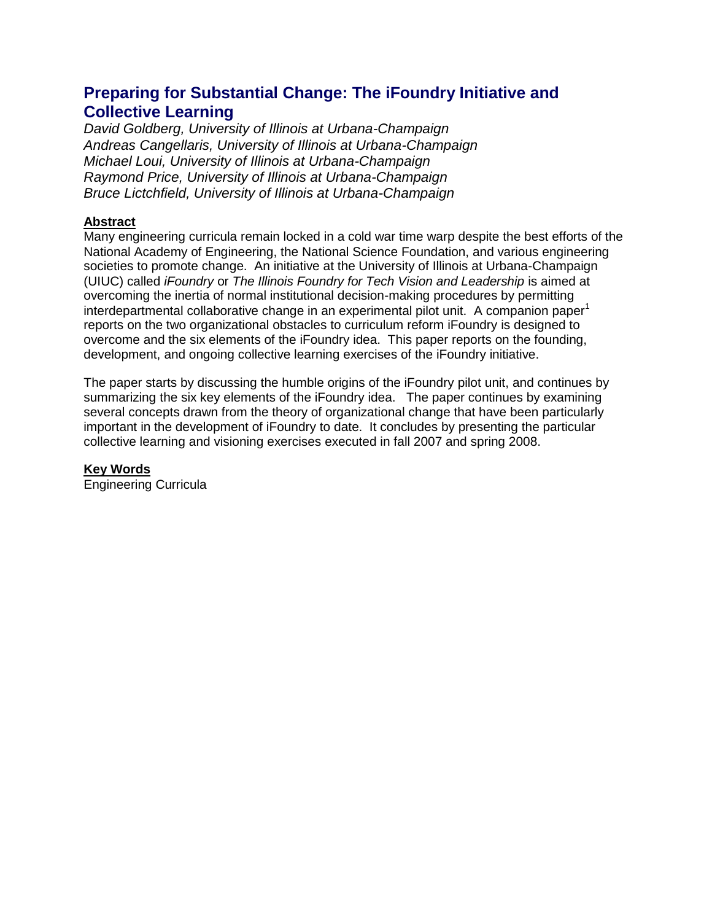# **Preparing for Substantial Change: The iFoundry Initiative and Collective Learning**

*David Goldberg, University of Illinois at Urbana-Champaign Andreas Cangellaris, University of Illinois at Urbana-Champaign Michael Loui, University of Illinois at Urbana-Champaign Raymond Price, University of Illinois at Urbana-Champaign Bruce Lictchfield, University of Illinois at Urbana-Champaign*

#### **Abstract**

Many engineering curricula remain locked in a cold war time warp despite the best efforts of the National Academy of Engineering, the National Science Foundation, and various engineering societies to promote change. An initiative at the University of Illinois at Urbana-Champaign (UIUC) called *iFoundry* or *The Illinois Foundry for Tech Vision and Leadership* is aimed at overcoming the inertia of normal institutional decision-making procedures by permitting interdepartmental collaborative change in an experimental pilot unit. A companion paper<sup>1</sup> reports on the two organizational obstacles to curriculum reform iFoundry is designed to overcome and the six elements of the iFoundry idea. This paper reports on the founding, development, and ongoing collective learning exercises of the iFoundry initiative.

The paper starts by discussing the humble origins of the iFoundry pilot unit, and continues by summarizing the six key elements of the iFoundry idea. The paper continues by examining several concepts drawn from the theory of organizational change that have been particularly important in the development of iFoundry to date. It concludes by presenting the particular collective learning and visioning exercises executed in fall 2007 and spring 2008.

**Key Words**

Engineering Curricula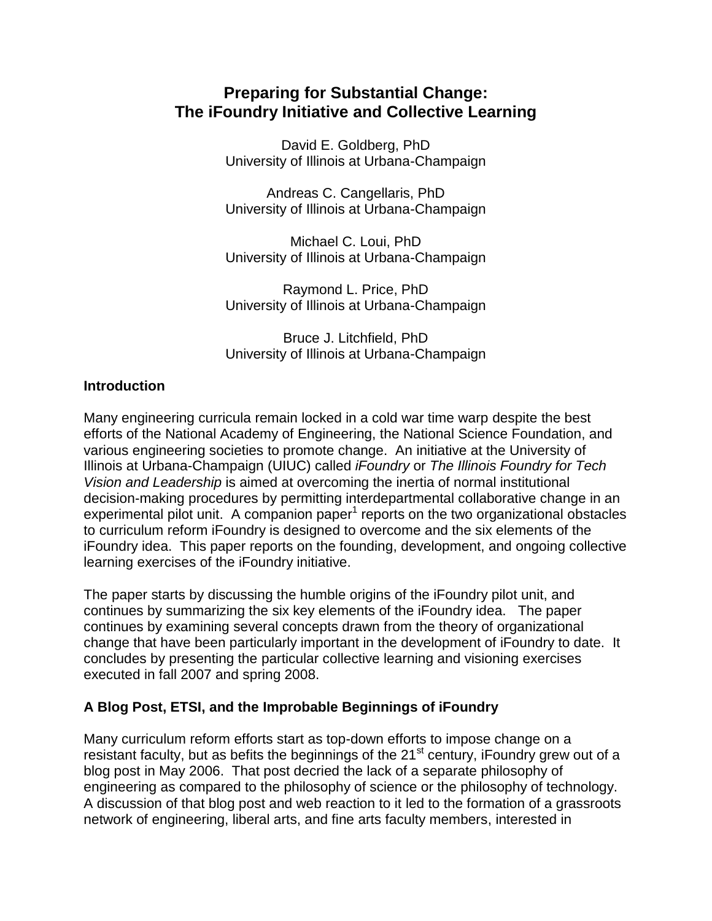# **Preparing for Substantial Change: The iFoundry Initiative and Collective Learning**

David E. Goldberg, PhD University of Illinois at Urbana-Champaign

Andreas C. Cangellaris, PhD University of Illinois at Urbana-Champaign

Michael C. Loui, PhD University of Illinois at Urbana-Champaign

Raymond L. Price, PhD University of Illinois at Urbana-Champaign

Bruce J. Litchfield, PhD University of Illinois at Urbana-Champaign

#### **Introduction**

Many engineering curricula remain locked in a cold war time warp despite the best efforts of the National Academy of Engineering, the National Science Foundation, and various engineering societies to promote change. An initiative at the University of Illinois at Urbana-Champaign (UIUC) called *iFoundry* or *The Illinois Foundry for Tech Vision and Leadership* is aimed at overcoming the inertia of normal institutional decision-making procedures by permitting interdepartmental collaborative change in an  $experimental$  pilot unit. A companion paper $1$  reports on the two organizational obstacles to curriculum reform iFoundry is designed to overcome and the six elements of the iFoundry idea. This paper reports on the founding, development, and ongoing collective learning exercises of the iFoundry initiative.

The paper starts by discussing the humble origins of the iFoundry pilot unit, and continues by summarizing the six key elements of the iFoundry idea. The paper continues by examining several concepts drawn from the theory of organizational change that have been particularly important in the development of iFoundry to date. It concludes by presenting the particular collective learning and visioning exercises executed in fall 2007 and spring 2008.

# **A Blog Post, ETSI, and the Improbable Beginnings of iFoundry**

Many curriculum reform efforts start as top-down efforts to impose change on a resistant faculty, but as befits the beginnings of the  $21<sup>st</sup>$  century, iFoundry grew out of a blog post in May 2006. That post decried the lack of a separate philosophy of engineering as compared to the philosophy of science or the philosophy of technology. A discussion of that blog post and web reaction to it led to the formation of a grassroots network of engineering, liberal arts, and fine arts faculty members, interested in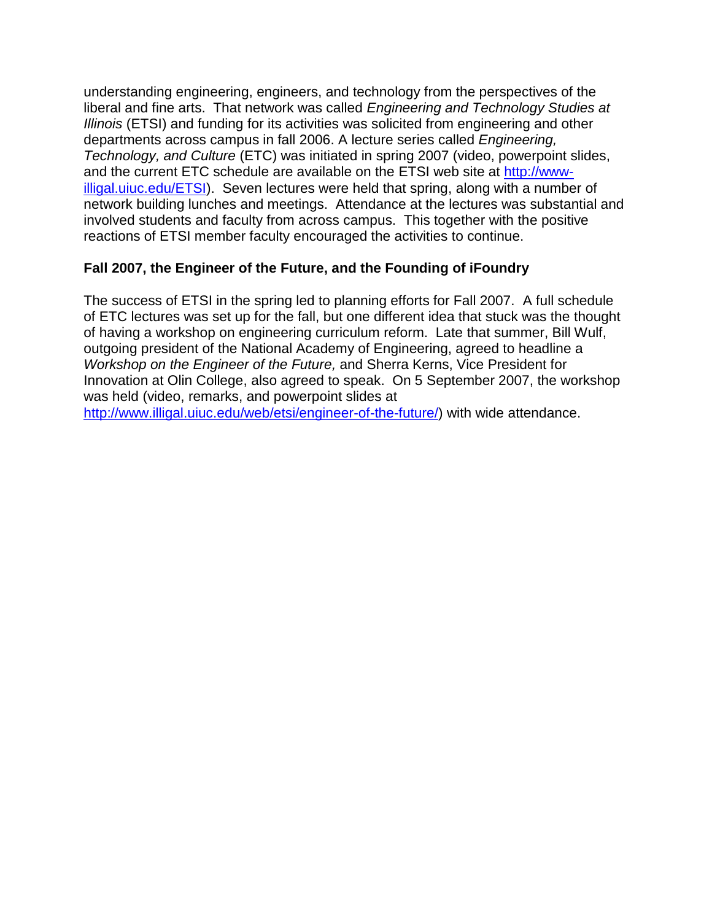understanding engineering, engineers, and technology from the perspectives of the liberal and fine arts. That network was called *Engineering and Technology Studies at Illinois* (ETSI) and funding for its activities was solicited from engineering and other departments across campus in fall 2006. A lecture series called *Engineering, Technology, and Culture* (ETC) was initiated in spring 2007 (video, powerpoint slides, and the current ETC schedule are available on the ETSI web site at [http://www](http://www-illigal.uiuc.edu/ETSI)[illigal.uiuc.edu/ETSI\)](http://www-illigal.uiuc.edu/ETSI). Seven lectures were held that spring, along with a number of network building lunches and meetings. Attendance at the lectures was substantial and involved students and faculty from across campus. This together with the positive reactions of ETSI member faculty encouraged the activities to continue.

### **Fall 2007, the Engineer of the Future, and the Founding of iFoundry**

The success of ETSI in the spring led to planning efforts for Fall 2007. A full schedule of ETC lectures was set up for the fall, but one different idea that stuck was the thought of having a workshop on engineering curriculum reform. Late that summer, Bill Wulf, outgoing president of the National Academy of Engineering, agreed to headline a *Workshop on the Engineer of the Future,* and Sherra Kerns, Vice President for Innovation at Olin College, also agreed to speak. On 5 September 2007, the workshop was held (video, remarks, and powerpoint slides at

[http://www.illigal.uiuc.edu/web/etsi/engineer-of-the-future/\)](http://www.illigal.uiuc.edu/web/etsi/engineer-of-the-future/) with wide attendance.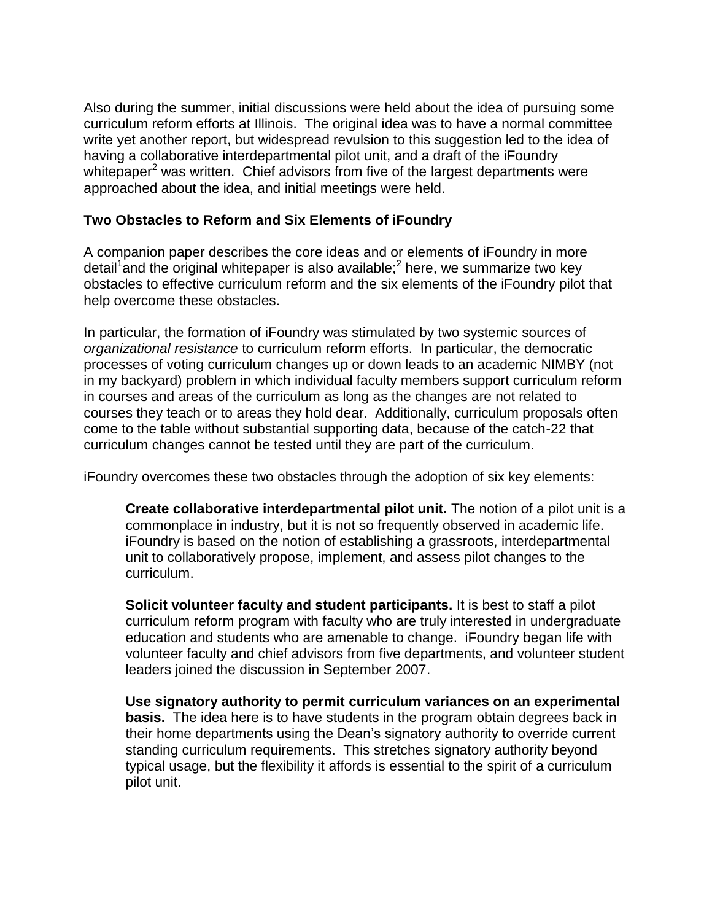Also during the summer, initial discussions were held about the idea of pursuing some curriculum reform efforts at Illinois. The original idea was to have a normal committee write yet another report, but widespread revulsion to this suggestion led to the idea of having a collaborative interdepartmental pilot unit, and a draft of the iFoundry whitepaper<sup>2</sup> was written. Chief advisors from five of the largest departments were approached about the idea, and initial meetings were held.

### **Two Obstacles to Reform and Six Elements of iFoundry**

A companion paper describes the core ideas and or elements of iFoundry in more detail<sup>1</sup> and the original whitepaper is also available;<sup>2</sup> here, we summarize two key obstacles to effective curriculum reform and the six elements of the iFoundry pilot that help overcome these obstacles.

In particular, the formation of iFoundry was stimulated by two systemic sources of *organizational resistance* to curriculum reform efforts. In particular, the democratic processes of voting curriculum changes up or down leads to an academic NIMBY (not in my backyard) problem in which individual faculty members support curriculum reform in courses and areas of the curriculum as long as the changes are not related to courses they teach or to areas they hold dear. Additionally, curriculum proposals often come to the table without substantial supporting data, because of the catch-22 that curriculum changes cannot be tested until they are part of the curriculum.

iFoundry overcomes these two obstacles through the adoption of six key elements:

**Create collaborative interdepartmental pilot unit.** The notion of a pilot unit is a commonplace in industry, but it is not so frequently observed in academic life. iFoundry is based on the notion of establishing a grassroots, interdepartmental unit to collaboratively propose, implement, and assess pilot changes to the curriculum.

**Solicit volunteer faculty and student participants.** It is best to staff a pilot curriculum reform program with faculty who are truly interested in undergraduate education and students who are amenable to change. iFoundry began life with volunteer faculty and chief advisors from five departments, and volunteer student leaders joined the discussion in September 2007.

**Use signatory authority to permit curriculum variances on an experimental basis.** The idea here is to have students in the program obtain degrees back in their home departments using the Dean's signatory authority to override current standing curriculum requirements. This stretches signatory authority beyond typical usage, but the flexibility it affords is essential to the spirit of a curriculum pilot unit.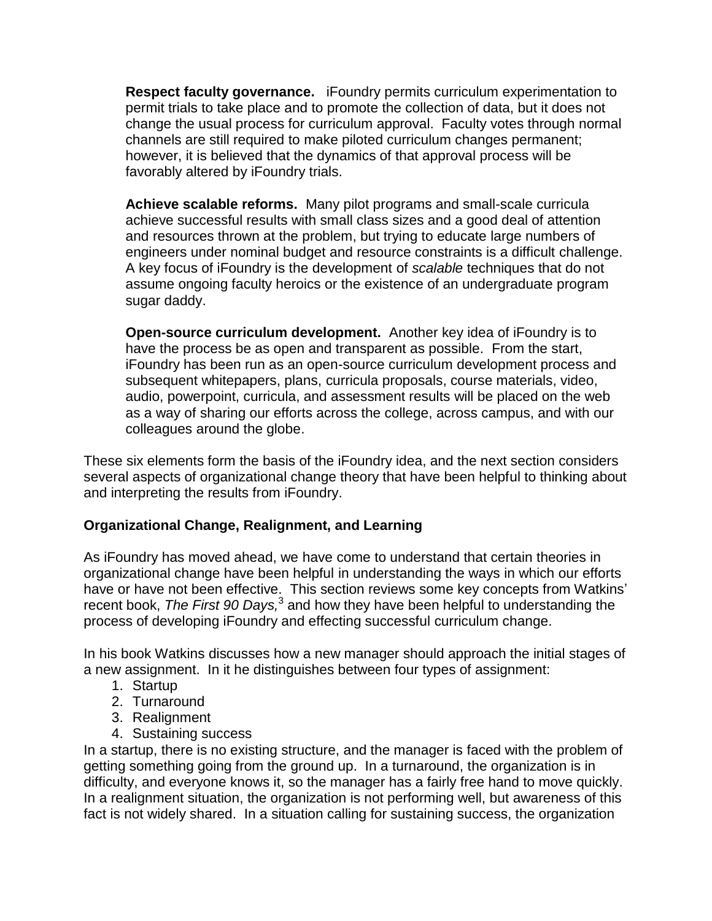**Respect faculty governance.** iFoundry permits curriculum experimentation to permit trials to take place and to promote the collection of data, but it does not change the usual process for curriculum approval. Faculty votes through normal channels are still required to make piloted curriculum changes permanent; however, it is believed that the dynamics of that approval process will be favorably altered by iFoundry trials.

**Achieve scalable reforms.** Many pilot programs and small-scale curricula achieve successful results with small class sizes and a good deal of attention and resources thrown at the problem, but trying to educate large numbers of engineers under nominal budget and resource constraints is a difficult challenge. A key focus of iFoundry is the development of *scalable* techniques that do not assume ongoing faculty heroics or the existence of an undergraduate program sugar daddy.

**Open-source curriculum development.** Another key idea of iFoundry is to have the process be as open and transparent as possible. From the start, iFoundry has been run as an open-source curriculum development process and subsequent whitepapers, plans, curricula proposals, course materials, video, audio, powerpoint, curricula, and assessment results will be placed on the web as a way of sharing our efforts across the college, across campus, and with our colleagues around the globe.

These six elements form the basis of the iFoundry idea, and the next section considers several aspects of organizational change theory that have been helpful to thinking about and interpreting the results from iFoundry.

# **Organizational Change, Realignment, and Learning**

As iFoundry has moved ahead, we have come to understand that certain theories in organizational change have been helpful in understanding the ways in which our efforts have or have not been effective. This section reviews some key concepts from Watkins' recent book, The First 90 Days,<sup>3</sup> and how they have been helpful to understanding the process of developing iFoundry and effecting successful curriculum change.

In his book Watkins discusses how a new manager should approach the initial stages of a new assignment. In it he distinguishes between four types of assignment:

- 1. Startup
- 2. Turnaround
- 3. Realignment
- 4. Sustaining success

In a startup, there is no existing structure, and the manager is faced with the problem of getting something going from the ground up. In a turnaround, the organization is in difficulty, and everyone knows it, so the manager has a fairly free hand to move quickly. In a realignment situation, the organization is not performing well, but awareness of this fact is not widely shared. In a situation calling for sustaining success, the organization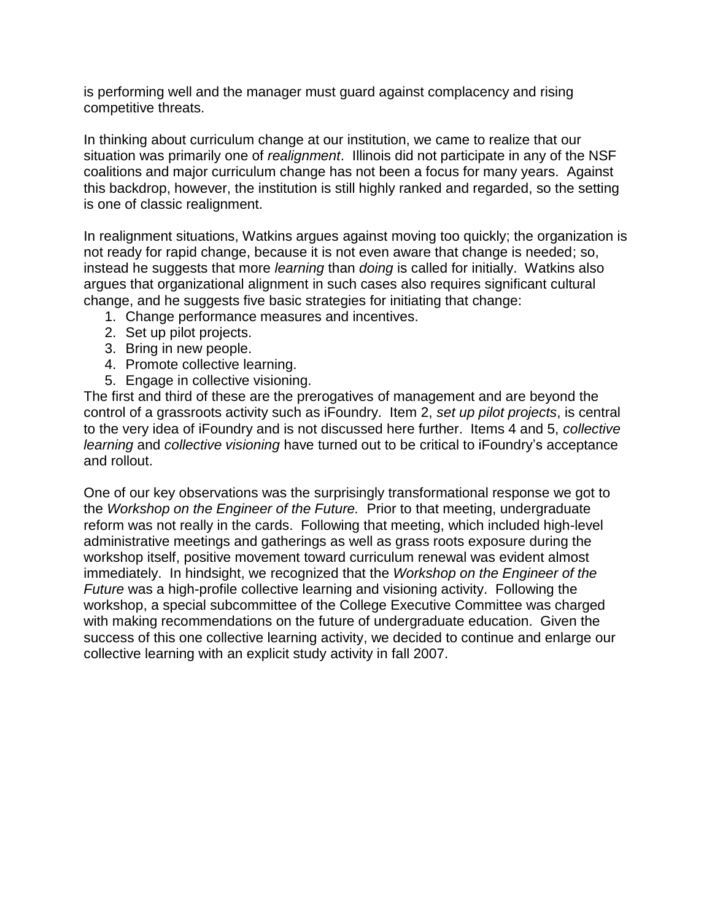is performing well and the manager must guard against complacency and rising competitive threats.

In thinking about curriculum change at our institution, we came to realize that our situation was primarily one of *realignment*. Illinois did not participate in any of the NSF coalitions and major curriculum change has not been a focus for many years. Against this backdrop, however, the institution is still highly ranked and regarded, so the setting is one of classic realignment.

In realignment situations, Watkins argues against moving too quickly; the organization is not ready for rapid change, because it is not even aware that change is needed; so, instead he suggests that more *learning* than *doing* is called for initially. Watkins also argues that organizational alignment in such cases also requires significant cultural change, and he suggests five basic strategies for initiating that change:

- 1. Change performance measures and incentives.
- 2. Set up pilot projects.
- 3. Bring in new people.
- 4. Promote collective learning.
- 5. Engage in collective visioning.

The first and third of these are the prerogatives of management and are beyond the control of a grassroots activity such as iFoundry. Item 2, *set up pilot projects*, is central to the very idea of iFoundry and is not discussed here further. Items 4 and 5, *collective learning* and *collective visioning* have turned out to be critical to iFoundry's acceptance and rollout.

One of our key observations was the surprisingly transformational response we got to the *Workshop on the Engineer of the Future.* Prior to that meeting, undergraduate reform was not really in the cards. Following that meeting, which included high-level administrative meetings and gatherings as well as grass roots exposure during the workshop itself, positive movement toward curriculum renewal was evident almost immediately. In hindsight, we recognized that the *Workshop on the Engineer of the Future* was a high-profile collective learning and visioning activity. Following the workshop, a special subcommittee of the College Executive Committee was charged with making recommendations on the future of undergraduate education. Given the success of this one collective learning activity, we decided to continue and enlarge our collective learning with an explicit study activity in fall 2007.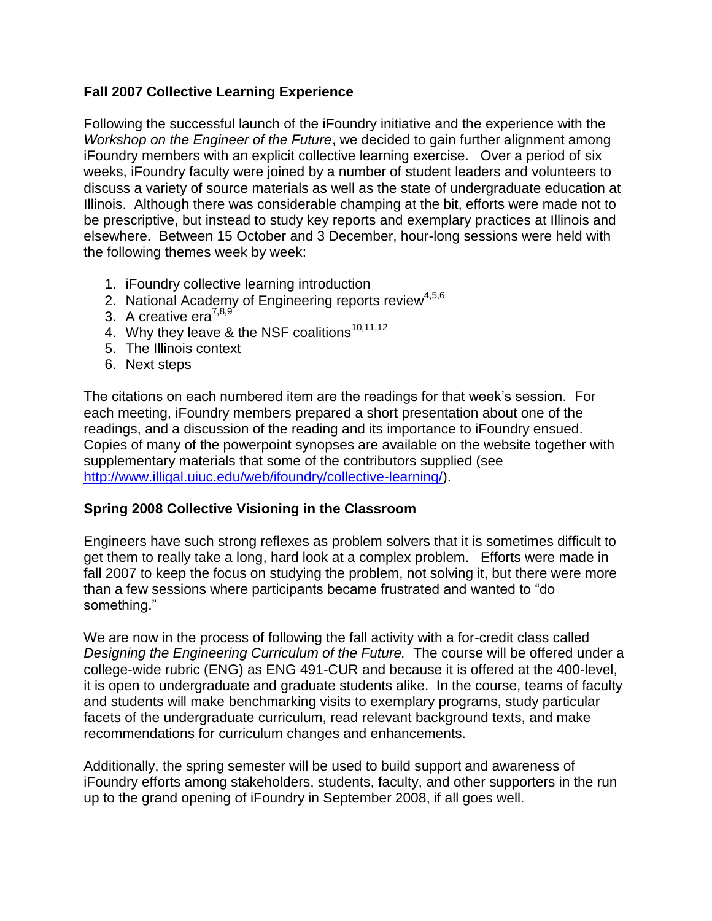### **Fall 2007 Collective Learning Experience**

Following the successful launch of the iFoundry initiative and the experience with the *Workshop on the Engineer of the Future*, we decided to gain further alignment among iFoundry members with an explicit collective learning exercise. Over a period of six weeks, iFoundry faculty were joined by a number of student leaders and volunteers to discuss a variety of source materials as well as the state of undergraduate education at Illinois. Although there was considerable champing at the bit, efforts were made not to be prescriptive, but instead to study key reports and exemplary practices at Illinois and elsewhere. Between 15 October and 3 December, hour-long sessions were held with the following themes week by week:

- 1. iFoundry collective learning introduction
- 2. National Academy of Engineering reports review<sup>4,5,6</sup>
- 3. A creative era $^{7,8,9'}$
- 4. Why they leave & the NSF coalitions<sup>10,11,12</sup>
- 5. The Illinois context
- 6. Next steps

The citations on each numbered item are the readings for that week's session. For each meeting, iFoundry members prepared a short presentation about one of the readings, and a discussion of the reading and its importance to iFoundry ensued. Copies of many of the powerpoint synopses are available on the website together with supplementary materials that some of the contributors supplied (see [http://www.illigal.uiuc.edu/web/ifoundry/collective-learning/\)](http://www.illigal.uiuc.edu/web/ifoundry/collective-learning/).

# **Spring 2008 Collective Visioning in the Classroom**

Engineers have such strong reflexes as problem solvers that it is sometimes difficult to get them to really take a long, hard look at a complex problem. Efforts were made in fall 2007 to keep the focus on studying the problem, not solving it, but there were more than a few sessions where participants became frustrated and wanted to "do something."

We are now in the process of following the fall activity with a for-credit class called *Designing the Engineering Curriculum of the Future.* The course will be offered under a college-wide rubric (ENG) as ENG 491-CUR and because it is offered at the 400-level, it is open to undergraduate and graduate students alike. In the course, teams of faculty and students will make benchmarking visits to exemplary programs, study particular facets of the undergraduate curriculum, read relevant background texts, and make recommendations for curriculum changes and enhancements.

Additionally, the spring semester will be used to build support and awareness of iFoundry efforts among stakeholders, students, faculty, and other supporters in the run up to the grand opening of iFoundry in September 2008, if all goes well.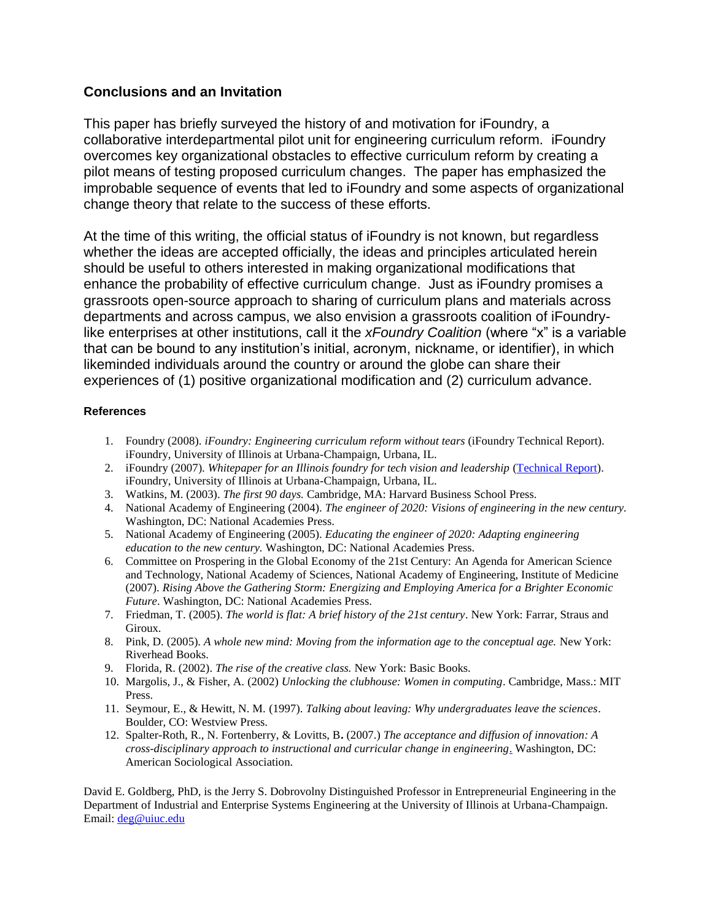#### **Conclusions and an Invitation**

This paper has briefly surveyed the history of and motivation for iFoundry, a collaborative interdepartmental pilot unit for engineering curriculum reform. iFoundry overcomes key organizational obstacles to effective curriculum reform by creating a pilot means of testing proposed curriculum changes. The paper has emphasized the improbable sequence of events that led to iFoundry and some aspects of organizational change theory that relate to the success of these efforts.

At the time of this writing, the official status of iFoundry is not known, but regardless whether the ideas are accepted officially, the ideas and principles articulated herein should be useful to others interested in making organizational modifications that enhance the probability of effective curriculum change. Just as iFoundry promises a grassroots open-source approach to sharing of curriculum plans and materials across departments and across campus, we also envision a grassroots coalition of iFoundrylike enterprises at other institutions, call it the *xFoundry Coalition* (where "x" is a variable that can be bound to any institution's initial, acronym, nickname, or identifier), in which likeminded individuals around the country or around the globe can share their experiences of (1) positive organizational modification and (2) curriculum advance.

#### **References**

- 1. Foundry (2008). *iFoundry: Engineering curriculum reform without tears* (iFoundry Technical Report)*.*  iFoundry, University of Illinois at Urbana-Champaign, Urbana, IL.
- 2. iFoundry (2007). *Whitepaper for an Illinois foundry for tech vision and leadership* [\(Technical Report\)](http://www.illigal.uiuc.edu/web/ifoundry/files/2007/08/ifoundry_concept.pdf). iFoundry, University of Illinois at Urbana-Champaign, Urbana, IL.
- 3. Watkins, M. (2003). *The first 90 days.* Cambridge, MA: Harvard Business School Press.
- 4. National Academy of Engineering (2004). *The engineer of 2020: Visions of engineering in the new century.*  Washington, DC: National Academies Press.
- 5. National Academy of Engineering (2005). *Educating the engineer of 2020: Adapting engineering education to the new century.* Washington, DC: National Academies Press.
- 6. Committee on Prospering in the Global Economy of the 21st Century: An Agenda for American Science and Technology, National Academy of Sciences, National Academy of Engineering, Institute of Medicine (2007). *Rising Above the Gathering Storm: Energizing and Employing America for a Brighter Economic Future*. Washington, DC: National Academies Press.
- 7. Friedman, T. (2005). *The world is flat: A brief history of the 21st century*. New York: Farrar, Straus and Giroux.
- 8. Pink, D. (2005). *A whole new mind: Moving from the information age to the conceptual age.* New York: Riverhead Books.
- 9. Florida, R. (2002). *The rise of the creative class.* New York: Basic Books.
- 10. Margolis, J., & Fisher, A. (2002) *Unlocking the clubhouse: Women in computing*. Cambridge, Mass.: MIT Press.
- 11. Seymour, E., & Hewitt, N. M. (1997). *Talking about leaving: Why undergraduates leave the sciences*. Boulder, CO: Westview Press.
- 12. Spalter-Roth, R., N. Fortenberry, & Lovitts, B**.** (2007.) *[The acceptance and diffusion of innovation: A](http://www.nae.edu/nae/caseecomnew.nsf/weblinks/NFOY-6XETVC/$file/ASA%20REPORT%20-%20engineers%201-07%20revised%203-02-07.pdf)  [cross-disciplinary approach to instructional and curricular change in engineering](http://www.nae.edu/nae/caseecomnew.nsf/weblinks/NFOY-6XETVC/$file/ASA%20REPORT%20-%20engineers%201-07%20revised%203-02-07.pdf)*. Washington, DC: American Sociological Association.

David E. Goldberg, PhD, is the Jerry S. Dobrovolny Distinguished Professor in Entrepreneurial Engineering in the Department of Industrial and Enterprise Systems Engineering at the University of Illinois at Urbana-Champaign. Email: [deg@uiuc.edu](mailto:deg@uiuc.edu)